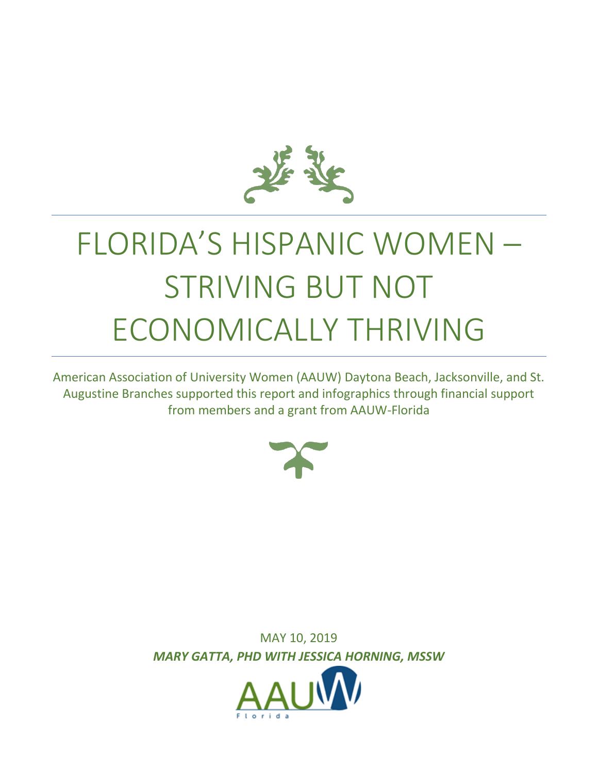

# FLORIDA'S HISPANIC WOMEN – STRIVING BUT NOT ECONOMICALLY THRIVING

American Association of University Women (AAUW) Daytona Beach, Jacksonville, and St. Augustine Branches supported this report and infographics through financial support from members and a grant from AAUW-Florida



MAY 10, 2019 *MARY GATTA, PHD WITH JESSICA HORNING, MSSW*

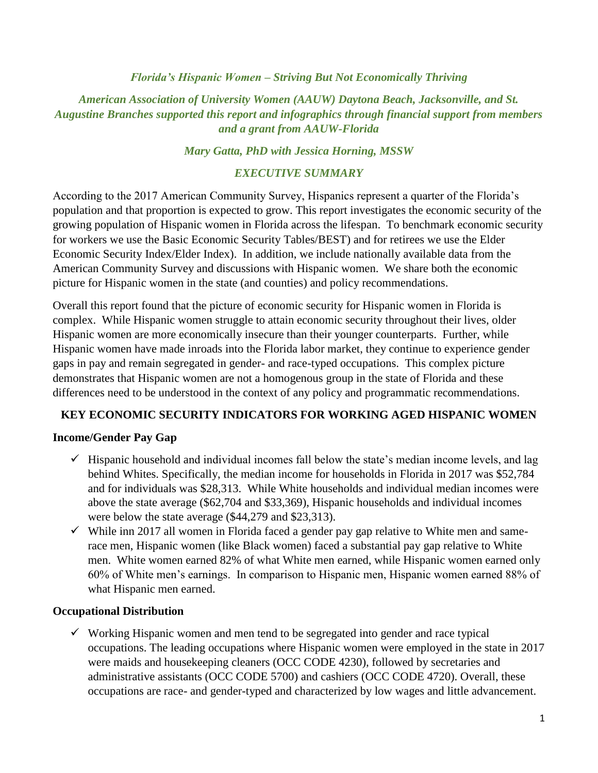#### *Florida's Hispanic Women – Striving But Not Economically Thriving*

*American Association of University Women (AAUW) Daytona Beach, Jacksonville, and St. Augustine Branches supported this report and infographics through financial support from members and a grant from AAUW-Florida*

#### *Mary Gatta, PhD with Jessica Horning, MSSW*

#### *EXECUTIVE SUMMARY*

According to the 2017 American Community Survey, Hispanics represent a quarter of the Florida's population and that proportion is expected to grow. This report investigates the economic security of the growing population of Hispanic women in Florida across the lifespan. To benchmark economic security for workers we use the Basic Economic Security Tables/BEST) and for retirees we use the Elder Economic Security Index/Elder Index). In addition, we include nationally available data from the American Community Survey and discussions with Hispanic women. We share both the economic picture for Hispanic women in the state (and counties) and policy recommendations.

Overall this report found that the picture of economic security for Hispanic women in Florida is complex. While Hispanic women struggle to attain economic security throughout their lives, older Hispanic women are more economically insecure than their younger counterparts. Further, while Hispanic women have made inroads into the Florida labor market, they continue to experience gender gaps in pay and remain segregated in gender- and race-typed occupations. This complex picture demonstrates that Hispanic women are not a homogenous group in the state of Florida and these differences need to be understood in the context of any policy and programmatic recommendations.

## **KEY ECONOMIC SECURITY INDICATORS FOR WORKING AGED HISPANIC WOMEN**

## **Income/Gender Pay Gap**

- $\checkmark$  Hispanic household and individual incomes fall below the state's median income levels, and lag behind Whites. Specifically, the median income for households in Florida in 2017 was \$52,784 and for individuals was \$28,313. While White households and individual median incomes were above the state average (\$62,704 and \$33,369), Hispanic households and individual incomes were below the state average (\$44,279 and \$23,313).
- $\checkmark$  While inn 2017 all women in Florida faced a gender pay gap relative to White men and samerace men, Hispanic women (like Black women) faced a substantial pay gap relative to White men. White women earned 82% of what White men earned, while Hispanic women earned only 60% of White men's earnings. In comparison to Hispanic men, Hispanic women earned 88% of what Hispanic men earned.

## **Occupational Distribution**

 $\checkmark$  Working Hispanic women and men tend to be segregated into gender and race typical occupations. The leading occupations where Hispanic women were employed in the state in 2017 were maids and housekeeping cleaners (OCC CODE 4230), followed by secretaries and administrative assistants (OCC CODE 5700) and cashiers (OCC CODE 4720). Overall, these occupations are race- and gender-typed and characterized by low wages and little advancement.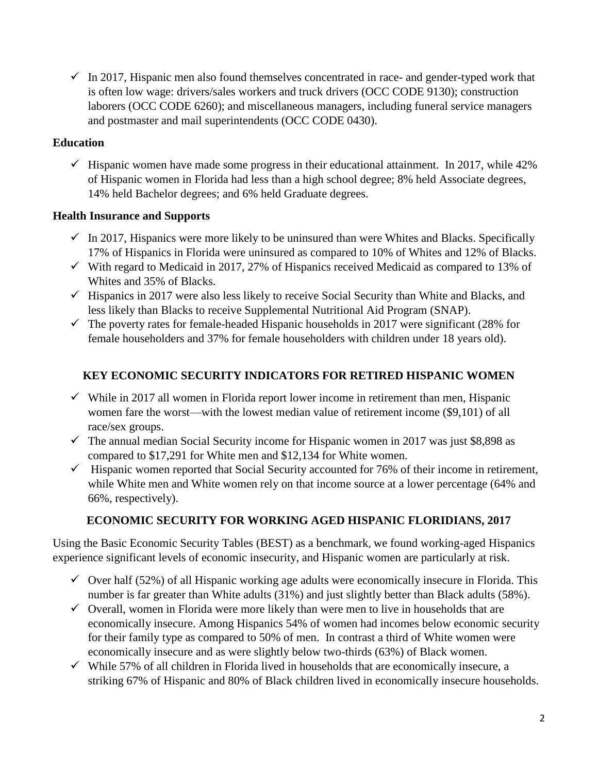$\checkmark$  In 2017, Hispanic men also found themselves concentrated in race- and gender-typed work that is often low wage: drivers/sales workers and truck drivers (OCC CODE 9130); construction laborers (OCC CODE 6260); and miscellaneous managers, including funeral service managers and postmaster and mail superintendents (OCC CODE 0430).

## **Education**

 $\checkmark$  Hispanic women have made some progress in their educational attainment. In 2017, while 42% of Hispanic women in Florida had less than a high school degree; 8% held Associate degrees, 14% held Bachelor degrees; and 6% held Graduate degrees.

## **Health Insurance and Supports**

- $\checkmark$  In 2017, Hispanics were more likely to be uninsured than were Whites and Blacks. Specifically 17% of Hispanics in Florida were uninsured as compared to 10% of Whites and 12% of Blacks.
- $\checkmark$  With regard to Medicaid in 2017, 27% of Hispanics received Medicaid as compared to 13% of Whites and 35% of Blacks.
- $\checkmark$  Hispanics in 2017 were also less likely to receive Social Security than White and Blacks, and less likely than Blacks to receive Supplemental Nutritional Aid Program (SNAP).
- $\checkmark$  The poverty rates for female-headed Hispanic households in 2017 were significant (28% for female householders and 37% for female householders with children under 18 years old).

# **KEY ECONOMIC SECURITY INDICATORS FOR RETIRED HISPANIC WOMEN**

- $\checkmark$  While in 2017 all women in Florida report lower income in retirement than men, Hispanic women fare the worst—with the lowest median value of retirement income (\$9,101) of all race/sex groups.
- $\checkmark$  The annual median Social Security income for Hispanic women in 2017 was just \$8,898 as compared to \$17,291 for White men and \$12,134 for White women.
- $\checkmark$  Hispanic women reported that Social Security accounted for 76% of their income in retirement, while White men and White women rely on that income source at a lower percentage (64% and 66%, respectively).

## **ECONOMIC SECURITY FOR WORKING AGED HISPANIC FLORIDIANS, 2017**

Using the Basic Economic Security Tables (BEST) as a benchmark, we found working-aged Hispanics experience significant levels of economic insecurity, and Hispanic women are particularly at risk.

- $\checkmark$  Over half (52%) of all Hispanic working age adults were economically insecure in Florida. This number is far greater than White adults (31%) and just slightly better than Black adults (58%).
- $\checkmark$  Overall, women in Florida were more likely than were men to live in households that are economically insecure. Among Hispanics 54% of women had incomes below economic security for their family type as compared to 50% of men. In contrast a third of White women were economically insecure and as were slightly below two-thirds (63%) of Black women.
- $\checkmark$  While 57% of all children in Florida lived in households that are economically insecure, a striking 67% of Hispanic and 80% of Black children lived in economically insecure households.